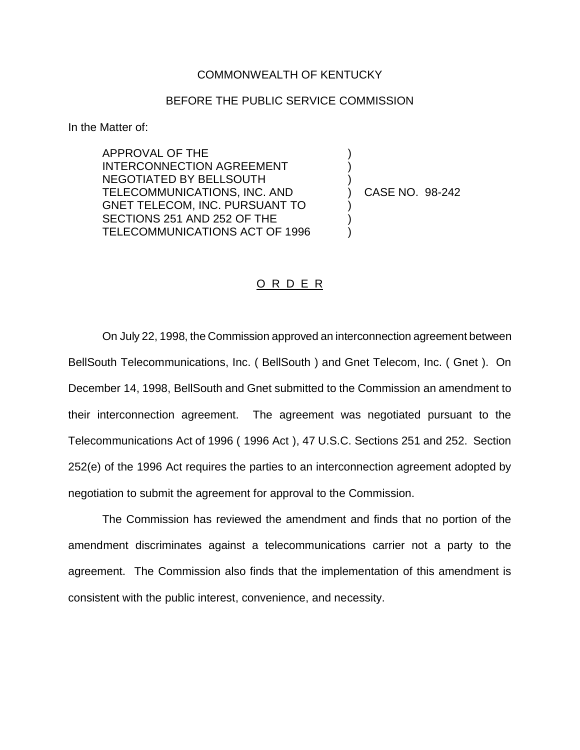## COMMONWEALTH OF KENTUCKY

## BEFORE THE PUBLIC SERVICE COMMISSION

) ) )

) ) )

In the Matter of:

APPROVAL OF THE INTERCONNECTION AGREEMENT NEGOTIATED BY BELLSOUTH TELECOMMUNICATIONS, INC. AND GNET TELECOM, INC. PURSUANT TO SECTIONS 251 AND 252 OF THE TELECOMMUNICATIONS ACT OF 1996

) CASE NO. 98-242

## O R D E R

On July 22, 1998, the Commission approved an interconnection agreement between BellSouth Telecommunications, Inc. ( BellSouth ) and Gnet Telecom, Inc. ( Gnet ). On December 14, 1998, BellSouth and Gnet submitted to the Commission an amendment to their interconnection agreement. The agreement was negotiated pursuant to the Telecommunications Act of 1996 ( 1996 Act ), 47 U.S.C. Sections 251 and 252. Section 252(e) of the 1996 Act requires the parties to an interconnection agreement adopted by negotiation to submit the agreement for approval to the Commission.

The Commission has reviewed the amendment and finds that no portion of the amendment discriminates against a telecommunications carrier not a party to the agreement. The Commission also finds that the implementation of this amendment is consistent with the public interest, convenience, and necessity.